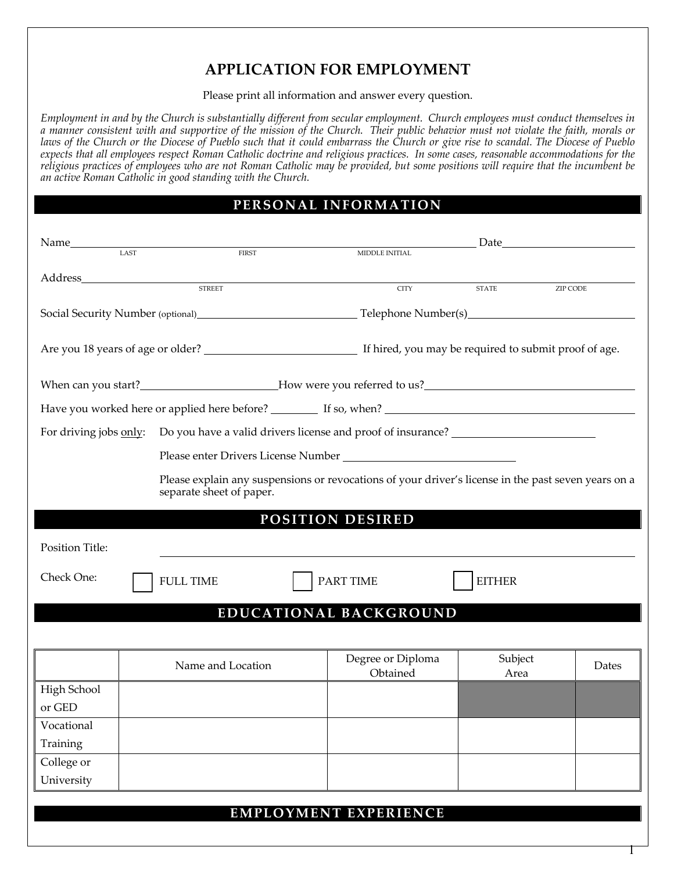## **APPLICATION FOR EMPLOYMENT**

Please print all information and answer every question.

*Employment in and by the Church is substantially different from secular employment. Church employees must conduct themselves in a manner consistent with and supportive of the mission of the Church. Their public behavior must not violate the faith, morals or laws of the Church or the Diocese of Pueblo such that it could embarrass the Church or give rise to scandal. The Diocese of Pueblo expects that all employees respect Roman Catholic doctrine and religious practices. In some cases, reasonable accommodations for the religious practices of employees who are not Roman Catholic may be provided, but some positions will require that the incumbent be an active Roman Catholic in good standing with the Church.*

## **PERSONAL INFORMATION**

| $\begin{array}{cc}\n\textbf{Name} & \textbf{LAST}\n\end{array}$                                                                 |  |                   |  |                               | Date <u>Date</u>       |          |  |  |  |
|---------------------------------------------------------------------------------------------------------------------------------|--|-------------------|--|-------------------------------|------------------------|----------|--|--|--|
|                                                                                                                                 |  | FIRST             |  | MIDDLE INITIAL                |                        |          |  |  |  |
|                                                                                                                                 |  |                   |  |                               |                        |          |  |  |  |
|                                                                                                                                 |  | <b>STREET</b>     |  | <b>CITY</b>                   | $\operatorname{STATE}$ | ZIP CODE |  |  |  |
|                                                                                                                                 |  |                   |  |                               |                        |          |  |  |  |
|                                                                                                                                 |  |                   |  |                               |                        |          |  |  |  |
|                                                                                                                                 |  |                   |  |                               |                        |          |  |  |  |
|                                                                                                                                 |  |                   |  |                               |                        |          |  |  |  |
| For driving jobs only: Do you have a valid drivers license and proof of insurance?                                              |  |                   |  |                               |                        |          |  |  |  |
|                                                                                                                                 |  |                   |  |                               |                        |          |  |  |  |
| Please explain any suspensions or revocations of your driver's license in the past seven years on a<br>separate sheet of paper. |  |                   |  |                               |                        |          |  |  |  |
|                                                                                                                                 |  |                   |  | POSITION DESIRED              |                        |          |  |  |  |
| Position Title:                                                                                                                 |  |                   |  |                               |                        |          |  |  |  |
| Check One:                                                                                                                      |  | <b>FULL TIME</b>  |  | <b>PART TIME</b>              | <b>EITHER</b>          |          |  |  |  |
|                                                                                                                                 |  |                   |  | EDUCATIONAL BACKGROUND        |                        |          |  |  |  |
|                                                                                                                                 |  |                   |  |                               |                        |          |  |  |  |
|                                                                                                                                 |  | Name and Location |  | Degree or Diploma<br>Obtained | Subject<br>Area        | Dates    |  |  |  |
| High School                                                                                                                     |  |                   |  |                               |                        |          |  |  |  |
| or GED                                                                                                                          |  |                   |  |                               |                        |          |  |  |  |
| Vocational                                                                                                                      |  |                   |  |                               |                        |          |  |  |  |
| Training                                                                                                                        |  |                   |  |                               |                        |          |  |  |  |
| College or                                                                                                                      |  |                   |  |                               |                        |          |  |  |  |
| University                                                                                                                      |  |                   |  |                               |                        |          |  |  |  |
|                                                                                                                                 |  |                   |  |                               |                        |          |  |  |  |
|                                                                                                                                 |  |                   |  | <b>EMPLOYMENT EXPERIENCE</b>  |                        |          |  |  |  |

1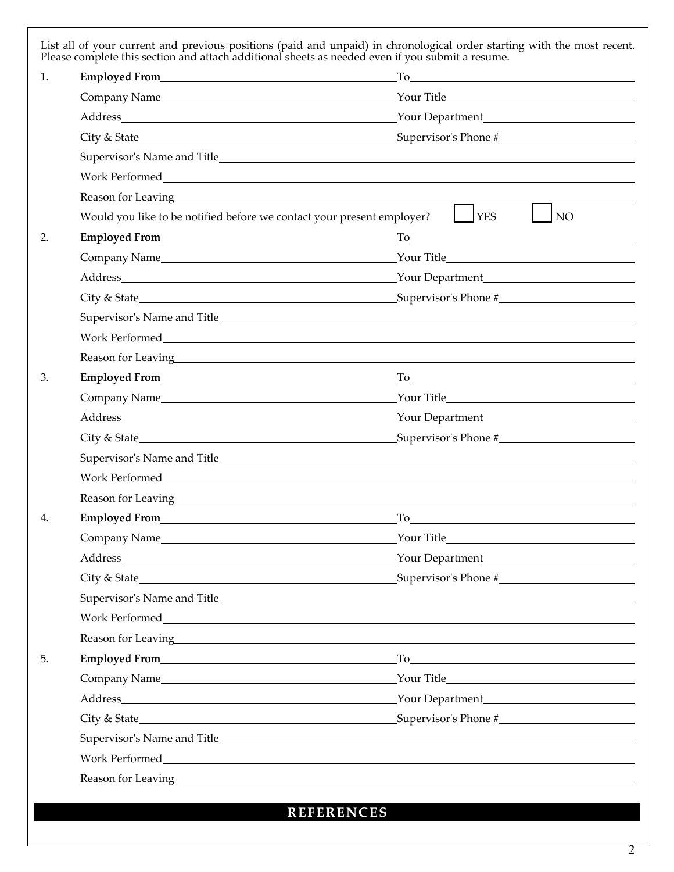|                                                                                                                                                                                                                                | $To$ and $\overline{a}$ are $\overline{a}$ and $\overline{a}$ are $\overline{a}$ and $\overline{a}$ are $\overline{a}$ and $\overline{a}$ and $\overline{a}$ are $\overline{a}$ and $\overline{a}$ are $\overline{a}$ and $\overline{a}$ and $\overline{a}$ are $\overline{a}$ and $\overline{a}$ and $\overline{a}$ are $\overline{$ |  |  |
|--------------------------------------------------------------------------------------------------------------------------------------------------------------------------------------------------------------------------------|---------------------------------------------------------------------------------------------------------------------------------------------------------------------------------------------------------------------------------------------------------------------------------------------------------------------------------------|--|--|
|                                                                                                                                                                                                                                |                                                                                                                                                                                                                                                                                                                                       |  |  |
|                                                                                                                                                                                                                                |                                                                                                                                                                                                                                                                                                                                       |  |  |
|                                                                                                                                                                                                                                |                                                                                                                                                                                                                                                                                                                                       |  |  |
|                                                                                                                                                                                                                                |                                                                                                                                                                                                                                                                                                                                       |  |  |
|                                                                                                                                                                                                                                |                                                                                                                                                                                                                                                                                                                                       |  |  |
|                                                                                                                                                                                                                                |                                                                                                                                                                                                                                                                                                                                       |  |  |
| Would you like to be notified before we contact your present employer?                                                                                                                                                         | $\vert \vert$ YES<br>NO                                                                                                                                                                                                                                                                                                               |  |  |
|                                                                                                                                                                                                                                | $To$ and $\overline{a}$ and $\overline{a}$ and $\overline{a}$ and $\overline{a}$ and $\overline{a}$ and $\overline{a}$ and $\overline{a}$ and $\overline{a}$ and $\overline{a}$ and $\overline{a}$ and $\overline{a}$ and $\overline{a}$ and $\overline{a}$ and $\overline{a}$ and $\overline{a}$ and $\overline{a}$ and $\overline{$ |  |  |
|                                                                                                                                                                                                                                |                                                                                                                                                                                                                                                                                                                                       |  |  |
|                                                                                                                                                                                                                                |                                                                                                                                                                                                                                                                                                                                       |  |  |
| City & State                                                                                                                                                                                                                   | Supervisor's Phone #                                                                                                                                                                                                                                                                                                                  |  |  |
|                                                                                                                                                                                                                                |                                                                                                                                                                                                                                                                                                                                       |  |  |
|                                                                                                                                                                                                                                |                                                                                                                                                                                                                                                                                                                                       |  |  |
|                                                                                                                                                                                                                                |                                                                                                                                                                                                                                                                                                                                       |  |  |
|                                                                                                                                                                                                                                | $To$ and $\overline{a}$ and $\overline{a}$ and $\overline{a}$ and $\overline{a}$ and $\overline{a}$ and $\overline{a}$ and $\overline{a}$ and $\overline{a}$ and $\overline{a}$ and $\overline{a}$ and $\overline{a}$ and $\overline{a}$ and $\overline{a}$ and $\overline{a}$ and $\overline{a}$ and $\overline{a}$ and $\overline{$ |  |  |
|                                                                                                                                                                                                                                |                                                                                                                                                                                                                                                                                                                                       |  |  |
|                                                                                                                                                                                                                                | Your Department                                                                                                                                                                                                                                                                                                                       |  |  |
|                                                                                                                                                                                                                                |                                                                                                                                                                                                                                                                                                                                       |  |  |
|                                                                                                                                                                                                                                |                                                                                                                                                                                                                                                                                                                                       |  |  |
|                                                                                                                                                                                                                                |                                                                                                                                                                                                                                                                                                                                       |  |  |
|                                                                                                                                                                                                                                |                                                                                                                                                                                                                                                                                                                                       |  |  |
|                                                                                                                                                                                                                                | To the contract of the contract of the contract of the contract of the contract of the contract of the contract of the contract of the contract of the contract of the contract of the contract of the contract of the contrac                                                                                                        |  |  |
|                                                                                                                                                                                                                                | Your Title                                                                                                                                                                                                                                                                                                                            |  |  |
|                                                                                                                                                                                                                                | Your Department                                                                                                                                                                                                                                                                                                                       |  |  |
|                                                                                                                                                                                                                                | City & State Supervisor's Phone #                                                                                                                                                                                                                                                                                                     |  |  |
|                                                                                                                                                                                                                                |                                                                                                                                                                                                                                                                                                                                       |  |  |
|                                                                                                                                                                                                                                |                                                                                                                                                                                                                                                                                                                                       |  |  |
| Reason for Leaving the community of the contract of the contract of the contract of the contract of the contract of the contract of the contract of the contract of the contract of the contract of the contract of the contra |                                                                                                                                                                                                                                                                                                                                       |  |  |
|                                                                                                                                                                                                                                |                                                                                                                                                                                                                                                                                                                                       |  |  |
|                                                                                                                                                                                                                                | Your Title                                                                                                                                                                                                                                                                                                                            |  |  |
|                                                                                                                                                                                                                                |                                                                                                                                                                                                                                                                                                                                       |  |  |
|                                                                                                                                                                                                                                |                                                                                                                                                                                                                                                                                                                                       |  |  |
|                                                                                                                                                                                                                                |                                                                                                                                                                                                                                                                                                                                       |  |  |
|                                                                                                                                                                                                                                |                                                                                                                                                                                                                                                                                                                                       |  |  |
|                                                                                                                                                                                                                                | Reason for Leaving here are a series of the series of the series of the series of the series of the series of the series of the series of the series of the series of the series of the series of the series of the series of                                                                                                         |  |  |

**REFERENCES**